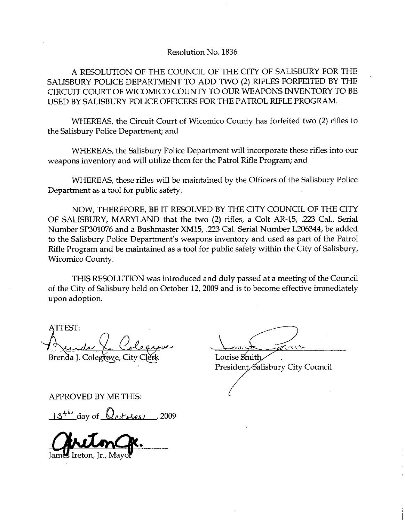## Resolution No. 1836

A RESOLUTION OF THE COUNCIL OF THE CITY OF SALISBURY FOR THE SALISBURY POLICE DEPARTMENT TO ADD TWO (2) RIFLES FORFEITED BY THE CIRCUIT COURT OF WICOMICO COUNTY TO OUR WEAPONS INVENTORY TO BE USED BY SALISBURY POLICE OFFICERS FOR THE PATROL RIFLEPROGRAM

WHEREAS, the Circuit Court of Wicomico County has forfeited two (2) rifles to the Salisbury Police Department; and

WHEREAS, the Salisbury Police Department will incorporate these rifles into our weapons inventory and will utilize them for the Patrol Rifle Program; and

WHEREAS, these rifles will be maintained by the Officers of the Salisbury Police Department as a tool for public safety

NOW, THEREFORE, BE IT RESOLVED BY THE CITY COUNCIL OF THE CITY OF SALISBURY, MARYLAND that the two (2) rifles, a Colt AR-15, .223 Cal., Serial Number SP301076 and a Bushmaster XM15, .223 Cal. Serial Number L206344, be added WHEREAS, these rifles will be maintained by the Officers of the Salisbury Police<br>Department as a tool for public safety.<br>NOW, THEREFORE, BE IT RESOLVED BY THE CITY COUNCIL OF THE CITY<br>OF SALISBURY, MARYLAND that the two (2 Rifle Program and be maintained as a tool for public safety within the City of Salisbury, Wicomico County

THIS RESOLUTION was introduced and duly passed at ameeting of the Council of the City of Salisbury held on October 12, 2009 and is to become effective immediately upon adoption

ATTEST of the City of S<br>upon adoption<br>ATTEST:<br>Brenda J. Coleg Brenda J. Colegrove, City Clerk Charles Louise Smith ATTEST:<br>Aude (Colegrove<br>Brenda J. Colegrove, City Clerk<br>APPROVED BY ME THIS:<br>13<sup>+1</sup> day of <u>October</u> 2009

 $\frac{1}{\frac{1}{\frac{1}{\frac{1}{1}}\frac{1}{\frac{1}{1}}}}$ 

President, Salisbury City Council

APPROVED BY ME THIS

James Ireton, Ir.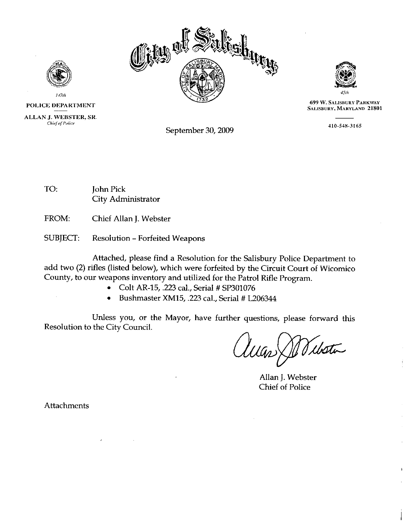



| $1 - 70$                                 |
|------------------------------------------|
| POLICE DEPARTMENT                        |
| ALLAN J. WEBSTER, SR.<br>Chief of Police |
|                                          |

September 30, 2009

TO: John Pick City Administrator

FROM: Chief Allan J. Webster

SUBJECT: Resolution - Forfeited Weapons

Attached, please find a Resolution for the Salisbury Police Department to add two (2) rifles (listed below), which were forfeited by the Circuit Court of Wicomico County, to our weapons inventory and utilized for the Patrol Rifle Program.

- $\bullet$  Colt AR-15, .223 cal., Serial # SP301076
- Bushmaster XM15, .223 cal., Serial # L206344  $\bullet$

Unless you, or the Mayor, have further questions, please forward this Resolution to the City Council

Wilsten

Allan J. Webster **Chief of Police** 

**Attachments** 

<sup>45th</sup><br>699 W. Salisbury Parkway<br>Salisbury, Maryland 21801

410 5483165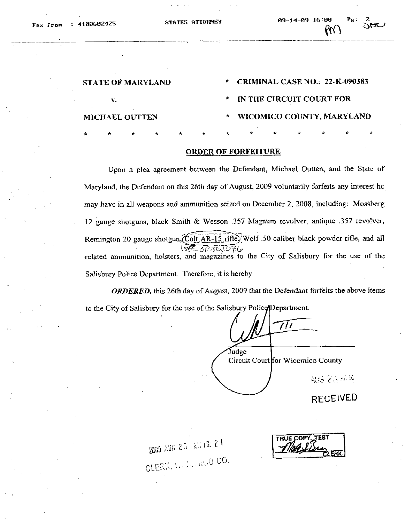|                             |                   | a contracto            |              |                                       |     |
|-----------------------------|-------------------|------------------------|--------------|---------------------------------------|-----|
| Fax from                    | : 4188682425      | <b>STATES ATTORNEY</b> |              | $Pg$ .<br>09-14-09 16:00              | SAC |
|                             |                   |                        |              |                                       |     |
| $\mathcal{F}_{\mathcal{A}}$ | STATE OF MARYLAND |                        | $\star$      | <b>CRIMINAL CASE NO.: 22-K-090383</b> |     |
|                             | v.                |                        | $\mathbf{w}$ | IN THE CIRCUIT COURT FOR              |     |
|                             | MICHAEL OUTTEN    |                        | $\pmb{\ast}$ | WICOMICO COUNTY, MARYLAND             |     |

## ORDER OF FORFEITURE

Upon a plea agreement between the Defendant, Michael Outten, and the State of Maryland, the Defendant on this 26th day of August, 2009 voluntarily forfeits any interest he may have in all weapons and ammunition seized on December 2, 2008, including: Mossberg 12 gauge shotguns, black Smith & Wesson 357 Magnum revolver, antique 357 revolver, 12 gauge shotguns, black Smith & Wesson 357 Magnum revolver, antique 357 revolver.<br>Remington 20 gauge shotgun,  $\overline{\text{Colt AR-15}}$  rifle, Wolf 50 caliber black powder rifle, and all  $\sqrt{\frac{\text{Colt AR}-15 \text{ r}}{\text{S}}\times \text{SPA} \cdot \text{SOL}/\text{D}}}$  $Z$  SP301076 related ammunition, holsters, and magazines to the City of Salisbury for the use of the Salisbury Police Department. Therefore, it is hereby

ORDERED, this 26th day of August, 2009 that the Defendant forfeits the above items to the City of Salisbury for the use of the Salisbury Police Department.

77 Judge Circuit Court for Wicomico County 配给空意饰的

**RECEIVED** 

1<br>1<br>1<br>1988 yild CLERIK, V. J., NUO CO.

TRUE COPY